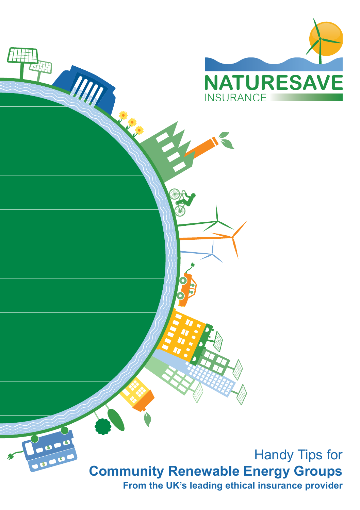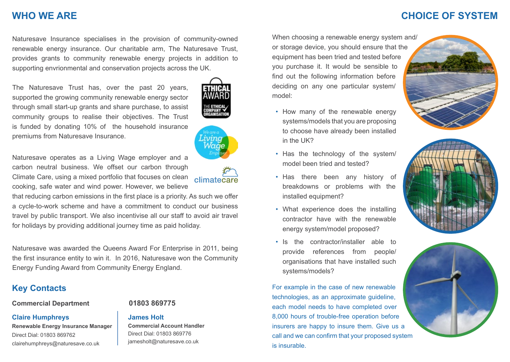### **CHOICE OF SYSTEM**

### **WHO WE ARE**

Naturesave Insurance specialises in the provision of community-owned renewable energy insurance. Our charitable arm, The Naturesave Trust, provides grants to community renewable energy projects in addition to supporting envrionmental and conservation projects across the UK.

The Naturesave Trust has, over the past 20 years, supported the growing community renewable energy sector through small start-up grants and share purchase, to assist community groups to realise their objectives. The Trust is funded by donating 10% of the household insurance premiums from Naturesave Insurance.

Naturesave operates as a Living Wage employer and a carbon neutral business. We offset our carbon through Climate Care, using a mixed portfolio that focuses on clean cooking, safe water and wind power. However, we believe

that reducing carbon emissions in the first place is a priority. As such we offer a cycle-to-work scheme and have a commitment to conduct our business travel by public transport. We also incentivise all our staff to avoid air travel for holidays by providing additional journey time as paid holiday.

Naturesave was awarded the Queens Award For Enterprise in 2011, being the first insurance entity to win it. In 2016, Naturesave won the Community Energy Funding Award from Community Energy England.

## **Key Contacts**

**Commercial Department 01803 869775**

#### **Claire Humphreys**

**Renewable Energy Insurance Manager** Direct Dial: 01803 869762 [clairehumphreys@naturesave.co.uk](mailto:clairehumphreys@naturesave.co.uk)

#### **James Holt**

**Commercial Account Handler** Direct Dial: 01803 869776 jamesholt@naturesave.co.uk

When choosing a renewable energy system and/ or storage device, you should ensure that the equipment has been tried and tested before you purchase it. It would be sensible to find out the following information before deciding on any one particular system/ model:

- How many of the renewable energy systems/models that you are proposing to choose have already been installed in the UK?
- Has the technology of the system/ model been tried and tested?
- Has there been any history of breakdowns or problems with the installed equipment?
- What experience does the installing contractor have with the renewable energy system/model proposed?
- Is the contractor/installer able to provide references from people/ organisations that have installed such systems/models?

For example in the case of new renewable technologies, as an approximate guideline, each model needs to have completed over 8,000 hours of trouble-free operation before insurers are happy to insure them. Give us a call and we can confirm that your proposed system is insurable.









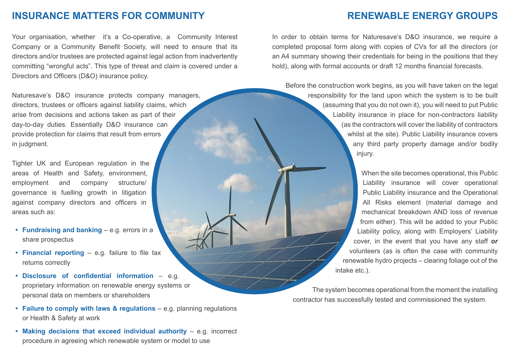#### **INSURANCE MATTERS FOR COMMUNITY**

Your organisation, whether it's a Co-operative, a Community Interest Company or a Community Benefit Society, will need to ensure that its directors and/or trustees are protected against legal action from inadvertently committing "wrongful acts". This type of threat and claim is covered under a Directors and Officers (D&O) insurance policy.

Naturesave's D&O insurance protects company managers, directors, trustees or officers against liability claims, which arise from decisions and actions taken as part of their day-to-day duties. Essentially D&O insurance can provide protection for claims that result from errors in judgment.

Tighter UK and European regulation in the areas of Health and Safety, environment, employment and company structure/ governance is fuelling growth in litigation against company directors and officers in areas such as:

- **• Fundraising and banking** e.g. errors in a share prospectus
- **• Financial reporting** e.g. failure to file tax returns correctly
- **• Disclosure of confidential information** e.g. proprietary information on renewable energy systems or personal data on members or shareholders
- **• Failure to comply with laws & regulations** e.g. planning regulations or Health & Safety at work
- **• Making decisions that exceed individual authority** e.g. incorrect procedure in agreeing which renewable system or model to use

In order to obtain terms for Naturesave's D&O insurance, we require a completed proposal form along with copies of CVs for all the directors (or an A4 summary showing their credentials for being in the positions that they hold), along with formal accounts or draft 12 months financial forecasts.

Before the construction work begins, as you will have taken on the legal responsibility for the land upon which the system is to be built (assuming that you do not own it), you will need to put Public Liability insurance in place for non-contractors liability (as the contractors will cover the liability of contractors whilst at the site). Public Liability insurance covers any third party property damage and/or bodily injury.

> When the site becomes operational, this Public Liability insurance will cover operational Public Liability insurance and the Operational All Risks element (material damage and mechanical breakdown AND loss of revenue from either). This will be added to your Public Liability policy, along with Employers' Liability cover, in the event that you have any staff *or* volunteers (as is often the case with community renewable hydro projects – clearing foliage out of the intake etc.).

The system becomes operational from the moment the installing contractor has successfully tested and commissioned the system.

# **RENEWABLE ENERGY GROUPS**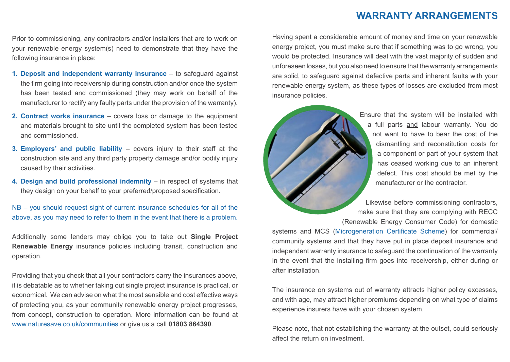#### **WARRANTY ARRANGEMENTS**

Prior to commissioning, any contractors and/or installers that are to work on your renewable energy system(s) need to demonstrate that they have the following insurance in place:

- **1. Deposit and independent warranty insurance** to safeguard against the firm going into receivership during construction and/or once the system has been tested and commissioned (they may work on behalf of the manufacturer to rectify any faulty parts under the provision of the warranty).
- **2. Contract works insurance** covers loss or damage to the equipment and materials brought to site until the completed system has been tested and commissioned.
- **3. Employers' and public liability** covers injury to their staff at the construction site and any third party property damage and/or bodily injury caused by their activities.
- **4. Design and build professional indemnity** in respect of systems that they design on your behalf to your preferred/proposed specification.

NB – you should request sight of current insurance schedules for all of the above, as you may need to refer to them in the event that there is a problem.

Additionally some lenders may oblige you to take out **Single Project Renewable Energy** insurance policies including transit, construction and operation.

Providing that you check that all your contractors carry the insurances above, it is debatable as to whether taking out single project insurance is practical, or economical. We can advise on what the most sensible and cost effective ways of protecting you, as your community renewable energy project progresses, from concept, construction to operation. More information can be found at [www.naturesave.co.uk/communities](http://www.naturesave.co.uk/communities) or give us a call **01803 864390**.

Having spent a considerable amount of money and time on your renewable energy project, you must make sure that if something was to go wrong, you would be protected. Insurance will deal with the vast majority of sudden and unforeseen losses, but you also need to ensure that the warranty arrangements are solid, to safeguard against defective parts and inherent faults with your renewable energy system, as these types of losses are excluded from most insurance policies.



Ensure that the system will be installed with a full parts and labour warranty. You do not want to have to bear the cost of the dismantling and reconstitution costs for a component or part of your system that has ceased working due to an inherent defect. This cost should be met by the manufacturer or the contractor.

Likewise before commissioning contractors, make sure that they are complying with RECC ([Renewable Energy Consumer Code](http://www.recc.org.uk)) for domestic

systems and MCS ([Microgeneration Certificate Scheme\)](http://www.microgenerationcertification.org) for commercial/ community systems and that they have put in place deposit insurance and independent warranty insurance to safeguard the continuation of the warranty in the event that the installing firm goes into receivership, either during or after installation.

The insurance on systems out of warranty attracts higher policy excesses, and with age, may attract higher premiums depending on what type of claims experience insurers have with your chosen system.

Please note, that not establishing the warranty at the outset, could seriously affect the return on investment.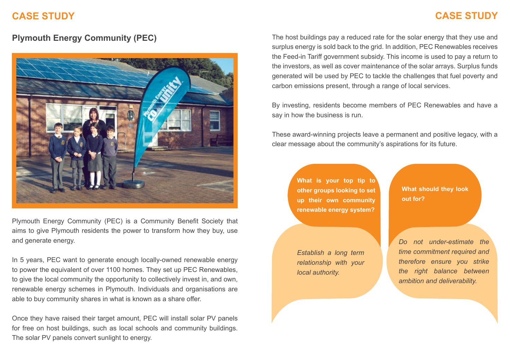# **CASE STUDY**

# **CASE STUDY**

#### **Plymouth Energy Community (PEC)**



Plymouth Energy Community (PEC) is a Community Benefit Society that aims to give Plymouth residents the power to transform how they buy, use and generate energy.

In 5 years, PEC want to generate enough locally-owned renewable energy to power the equivalent of over 1100 homes. They set up PEC Renewables, to give the local community the opportunity to collectively invest in, and own, renewable energy schemes in Plymouth. Individuals and organisations are able to buy community shares in what is known as a share offer.

Once they have raised their target amount, PEC will install solar PV panels for free on host buildings, such as local schools and community buildings. The solar PV panels convert sunlight to energy.

The host buildings pay a reduced rate for the solar energy that they use and surplus energy is sold back to the grid. In addition, PEC Renewables receives the Feed-in Tariff government subsidy. This income is used to pay a return to the investors, as well as cover maintenance of the solar arrays. Surplus funds generated will be used by PEC to tackle the challenges that fuel poverty and carbon emissions present, through a range of local services.

By investing, residents become members of PEC Renewables and have a say in how the business is run.

These award-winning projects leave a permanent and positive legacy, with a clear message about the community's aspirations for its future.

> **What is your top tip to other groups looking to set up their own community renewable energy system?**

*Establish a long term relationship with your local authority.*

**What should they look out for?**

*Do not under-estimate the time commitment required and therefore ensure you strike the right balance between ambition and deliverability.*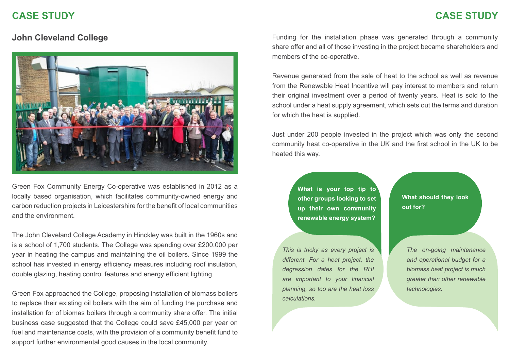### **CASE STUDY**

## **CASE STUDY**



Green Fox Community Energy Co-operative was established in 2012 as a locally based organisation, which facilitates community-owned energy and carbon reduction projects in Leicestershire for the benefit of local communities and the environment.

The John Cleveland College Academy in Hinckley was built in the 1960s and is a school of 1,700 students. The College was spending over £200,000 per year in heating the campus and maintaining the oil boilers. Since 1999 the school has invested in energy efficiency measures including roof insulation, double glazing, heating control features and energy efficient lighting.

Green Fox approached the College, proposing installation of biomass boilers to replace their existing oil boilers with the aim of funding the purchase and installation for of biomas boilers through a community share offer. The initial business case suggested that the College could save £45,000 per year on fuel and maintenance costs, with the provision of a community benefit fund to support further environmental good causes in the local community.

**John Cleveland College Funding for the installation phase was generated through a community** share offer and all of those investing in the project became shareholders and members of the co-operative.

> Revenue generated from the sale of heat to the school as well as revenue from the Renewable Heat Incentive will pay interest to members and return their original investment over a period of twenty years. Heat is sold to the school under a heat supply agreement, which sets out the terms and duration for which the heat is supplied.

> Just under 200 people invested in the project which was only the second community heat co-operative in the UK and the first school in the UK to be heated this way.

> > **What is your top tip to other groups looking to set up their own community renewable energy system?**

*This is tricky as every project is different. For a heat project, the degression dates for the RHI are important to your financial planning, so too are the heat loss calculations.*

**What should they look out for?**

*The on-going maintenance and operational budget for a biomass heat project is much greater than other renewable technologies.*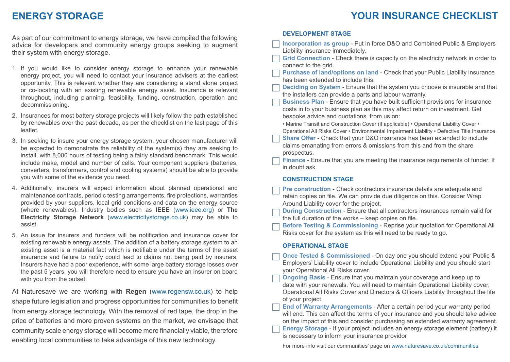# **YOUR INSURANCE CHECKLIST**

## **ENERGY STORAGE**

As part of our commitment to energy storage, we have compiled the following advice for developers and community energy groups seeking to augment their system with energy storage.

- 1. If you would like to consider energy storage to enhance your renewable energy project, you will need to contact your insurance advisers at the earliest opportunity. This is relevant whether they are considering a stand alone project or co-locating with an existing renewable energy asset. Insurance is relevant throughout, including planning, feasibility, funding, construction, operation and decommissioning.
- 2. Insurances for most battery storage projects will likely follow the path established by renewables over the past decade, as per the checklist on the last page of this leaflet.
- 3. In seeking to insure your energy storage system, your chosen manufacturer will be expected to demonstrate the reliability of the system(s) they are seeking to install, with 8,000 hours of testing being a fairly standard benchmark. This would include make, model and number of cells. Your component suppliers (batteries, converters, transformers, control and cooling systems) should be able to provide you with some of the evidence you need.
- 4. Additionally, insurers will expect information about planned operational and maintenance contracts, periodic testing arrangements, fire protections, warranties provided by your suppliers, local grid conditions and data on the energy source (where renewables). Industry bodies such as **IEEE** (<www.ieee.org>) or **The Electricity Storage Network** (<www.electricitystorage.co.uk>) may be able to assist.
- 5. An issue for insurers and funders will be notification and insurance cover for existing renewable energy assets. The addition of a battery storage system to an existing asset is a material fact which is notifiable under the terms of the asset insurance and failure to notify could lead to claims not being paid by insurers. Insurers have had a poor experience, with some large battery storage losses over the past 5 years, you will therefore need to ensure you have an insurer on board with you from the outset.

At Naturesave we are working with **Regen** (<www.regensw.co.uk>) to help shape future legislation and progress opportunities for communities to benefit from energy storage technology. With the removal of red tape, the drop in the price of batteries and more proven systems on the market, we envisage that community scale energy storage will become more financially viable, therefore enabling local communities to take advantage of this new technology.

#### **DEVELOPMENT STAGE**

| Incorporation as group - Put in force D&O and Combined Public & Employers<br>Liability insurance immediately.                                                                                                                                                                                                                                 |
|-----------------------------------------------------------------------------------------------------------------------------------------------------------------------------------------------------------------------------------------------------------------------------------------------------------------------------------------------|
| Grid Connection - Check there is capacity on the electricity network in order to<br>connect to the grid.                                                                                                                                                                                                                                      |
| Purchase of land/options on land - Check that your Public Liability insurance<br>has been extended to include this.                                                                                                                                                                                                                           |
| Deciding on System - Ensure that the system you choose is insurable and that<br>the installers can provide a parts and labour warranty.                                                                                                                                                                                                       |
| Business Plan - Ensure that you have built sufficient provisions for insurance<br>costs in to your business plan as this may affect return on investment. Get<br>bespoke advice and quotations from us on:                                                                                                                                    |
| • Marine Transit and Construction Cover (if applicable) • Operational Liability Cover •<br>Operational All Risks Cover • Environmental Impairment Liability • Defective Title Insurance.<br>Share Offer - Check that your D&O insurance has been extended to include<br>claims emanating from errors & omissions from this and from the share |
| prospectus.<br>Finance - Ensure that you are meeting the insurance requirements of funder. If<br>in doubt ask.                                                                                                                                                                                                                                |
| <b>CONSTRUCTION STAGE</b>                                                                                                                                                                                                                                                                                                                     |
| Pre construction - Check contractors insurance details are adequate and<br>retain copies on file. We can provide due diligence on this. Consider Wrap<br>Around Liability cover for the project.                                                                                                                                              |
| During Construction - Ensure that all contractors insurances remain valid for<br>the full duration of the works - keep copies on file.                                                                                                                                                                                                        |
| Before Testing & Commissioning - Reprise your quotation for Operational All<br>Risks cover for the system as this will need to be ready to go.                                                                                                                                                                                                |
| <b>OPERATIONAL STAGE</b>                                                                                                                                                                                                                                                                                                                      |
| Once Tested & Commissioned - On day one you should extend your Public &<br>Employers' Liability cover to include Operational Liability and you should start<br>your Operational All Risks cover.                                                                                                                                              |
| Ongoing Basis - Ensure that you maintain your coverage and keep up to<br>date with your renewals. You will need to maintain Operational Liability cover,<br>Operational All Risks Cover and Directors & Officers Liability throughout the life<br>of your project.                                                                            |
| End of Warranty Arrangements - After a certain period your warranty period<br>will end. This can affect the terms of your insurance and you should take advice<br>on the impact of this and consider purchasing an extended warranty agreement.<br>Energy Storage - If your project includes an energy storage element (battery) it           |

is necessary to inform your insurance providor

For more info visit our communities' page on [www.naturesave.co.uk/communities](http://www.naturesave.co.uk/communities
)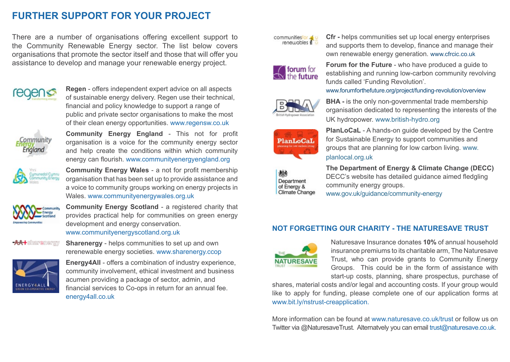# **FURTHER SUPPORT FOR YOUR PROJECT**

There are a number of organisations offering excellent support to the Community Renewable Energy sector. The list below covers organisations that promote the sector itself and those that will offer you assistance to develop and manage your renewable energy project.



**Regen** - offers independent expert advice on all aspects of sustainable energy delivery. Regen use their technical, financial and policy knowledge to support a range of public and private sector organisations to make the most of their clean energy opportunities. <www.regensw.co.uk>



**Community Energy England** - This not for profit organisation is a voice for the community energy sector and help create the conditions within which community energy can flourish. www.[communityenergyengland.org](http://hub.communityenergyengland.org)



**Community Energy Wales** - a not for profit membership organisation that has been set up to provide assistance and a voice to community groups working on energy projects in Wales. www.[communityenergywales.org.](http://hub.communityenergyengland.org)uk



**Community Energy Scotland** - a registered charity that provides practical help for communities on green energy development and energy conservation. www.[communityenergyscotland.org](http://hub.communityenergyengland.org).uk

**AA** + sharenergy

**Sharenergy** - helps communities to set up and own rerenewable energy societies. www.sharenergy.ccop



**Energy4All** - offers a combination of industry experience, community involvement, ethical investment and business acumen providing a package of sector, admin, and financial services to Co-ops in return for an annual fee. energy4all.co.uk



**Cfr -** helps communities set up local energy enterprises and supports them to develop, finance and manage their own renewable energy generation. www.cfrcic.co.uk



**Forum for the Future** - who have produced a guide to establishing and running low-carbon community revolving funds called 'Funding Revolution'.

www.forumforthefuture.org/project/funding-revolution/overview



**BHA** - is the only non-governmental trade membership organisation dedicated to representing the interests of the UK hydropower. www.british-hydro.org



**PlanLoCaL** - A hands-on guide developed by the Centre for Sustainable Energy to support communities and groups that are planning for low carbon living. www. planlocal.org.uk



**The Department of Energy & Climate Change (DECC)** DECC's website has detailed guidance aimed fledgling community energy groups. www.gov.uk/guidance/community-energy

#### **NOT FORGETTING OUR CHARITY - THE NATURESAVE TRUST**



Naturesave Insurance donates **10%** of annual household insurance premiums to its charitable arm, The Naturesave Trust, who can provide grants to Community Energy Groups. This could be in the form of assistance with start-up costs, planning, share prospectus, purchase of

shares, material costs and/or legal and accounting costs. If your group would like to apply for funding, please complete one of our application forms at [www.bit.ly/nstrust-creapplication](http://www.bit.ly/nstrust-creapplication).

More information can be found at [www.naturesave.co.uk/trust](http://www.naturesave.co.uk/trust) or follow us on Twitter via @NaturesaveTrust. Alternatvely you can email [trust@naturesave.co.uk.](http://trust@naturesave.co.uk)